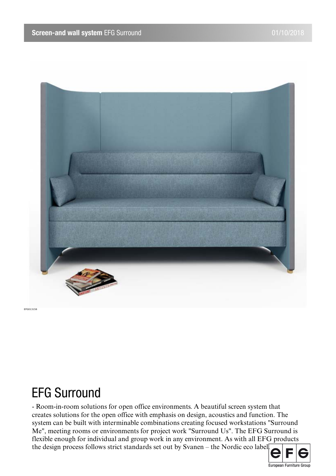

# EFG Surround

- Room-in-room solutions for open office environments. A beautiful screen system that creates solutions for the open office with emphasis on design, acoustics and function. The system can be built with interminable combinations creating focused workstations "Surround Me", meeting rooms or environments for project work "Surround Us". The EFG Surround is flexible enough for individual and group work in any environment. As with all EFG products the design process follows strict standards set out by Svanen – the Nordic eco label.

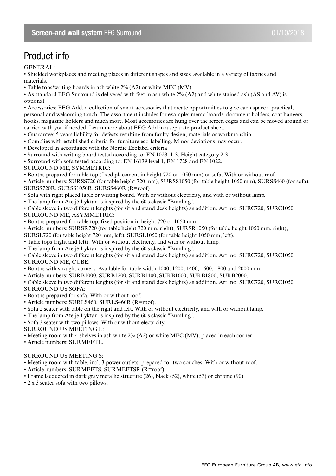## Product info

GENERAL:

• Shielded workplaces and meeting places in different shapes and sizes, available in a variety of fabrics and materials.

• Table tops/writing boards in ash white 2% (A2) or white MFC (MV).

• As standard EFG Surround is delivered with feet in ash white 2% (A2) and white stained ash (AS and AV) is optional.

• Accessories: EFG Add, a collection of smart accessories that create opportunities to give each space a practical, personal and welcoming touch. The assortment includes for example: memo boards, document holders, coat hangers, hooks, magazine holders and much more. Most accessories are hung over the screen edges and can be moved around or carried with you if needed. Learn more about EFG Add in a separate product sheet.

• Guarantee: 5 years liability for defects resulting from faulty design, materials or workmanship.

• Complies with established criteria for furniture eco-labelling. Minor deviations may occur.

• Developed in accordance with the Nordic Ecolabel criteria.

• Surround with writing board tested according to: EN 1023: 1-3. Height category 2-3.

• Surround with sofa tested according to: EN 16139 level 1, EN 1728 and EN 1022.

SURROUND ME, SYMMETRIC:

• Booths prepared for table top (fixed placement in height 720 or 1050 mm) or sofa. With or without roof.

• Article numbers: SURSS720 (for table height 720 mm), SURSS1050 (for table height 1050 mm), SURSS460 (for sofa), SURSS720R, SURSS1050R, SURSS460R (R=roof)

• Sofa with right placed table or writing board. With or without electricity, and with or without lamp.

• The lamp from Ateljé Lyktan is inspired by the 60's classic "Bumling".

• Cable sleeve in two different lenghts (for sit and stand desk heights) as addition. Art. no: SURC720, SURC1050. SURROUND ME, ASYMMETRIC:

• Booths prepared for table top, fixed position in height 720 or 1050 mm.

• Article numbers: SURSR720 (for table height 720 mm, right), SURSR1050 (for table height 1050 mm, right),

SURSL720 (for table height 720 mm, left), SURSL1050 (for table height 1050 mm, left).

• Table tops (right and left). With or without electricity, and with or without lamp.

• The lamp from Ateljé Lyktan is inspired by the 60's classic "Bumling".

• Cable sleeve in two different lenghts (for sit and stand desk heights) as addition. Art. no: SURC720, SURC1050. SURROUND ME, CUBE:

• Booths with straight corners. Available for table width 1000, 1200, 1400, 1600, 1800 and 2000 mm.

• Article numbers: SURB1000, SURB1200, SURB1400, SURB1600, SURB1800, SURB2000.

• Cable sleeve in two different lenghts (for sit and stand desk heights) as addition. Art. no: SURC720, SURC1050. SURROUND US SOFA:

• Booths prepared for sofa. With or without roof.

• Article numbers: SURLS460, SURLS460R (R=roof).

- Sofa 2 seater with table on the right and left. With or without electricity, and with or without lamp.
- The lamp from Ateljé Lyktan is inspired by the 60's classic "Bumling".

• Sofa 3 seater with two pillows. With or without electricity.

SURROUND US MEETING L:

• Meeting room with 4 shelves in ash white  $2\%$  (A2) or white MFC (MV), placed in each corner.

• Article numbers: SURMEETL.

### SURROUND US MEETING S:

• Meeting room with table, incl. 3 power outlets, prepared for two couches. With or without roof.

• Article numbers: SURMEETS, SURMEETSR (R=roof).

• Frame lacquered in dark gray metallic structure (26), black (52), white (53) or chrome (90).

• 2 x 3 seater sofa with two pillows.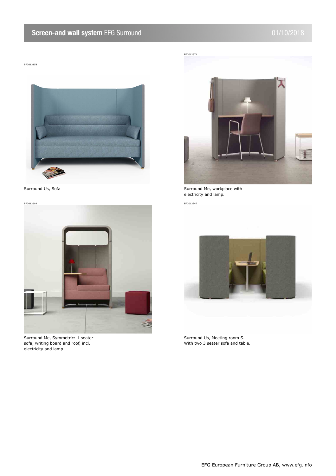### **Screen-and wall system** EFG Surround **12 and 101/10/2018**

EFG013158



EFG012684 EFG012947



Surround Me, Symmetric: 1 seater sofa, writing board and roof, incl. electricity and lamp.



Surround Us, Sofa Surround Me, workplace with electricity and lamp.



Surround Us, Meeting room S. With two 3 seater sofa and table.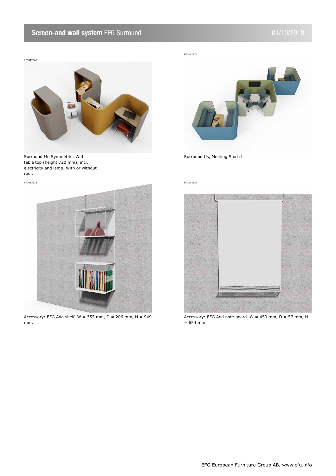### **Screen-and wall system** EFG Surround **120 and 101/10/2018**

EFG012665



Surround Me Symmetric: With table top (height 720 mm), incl. electricity and lamp. With or without roof.

EFG012528 EFG012526



Accessory: EFG Add shelf.  $W = 355$  mm,  $D = 206$  mm,  $H = 949$ mm.



Surround Us, Meeting S och L.



Accessory: EFG Add note board.  $W = 450$  mm, D = 57 mm, H = 654 mm.